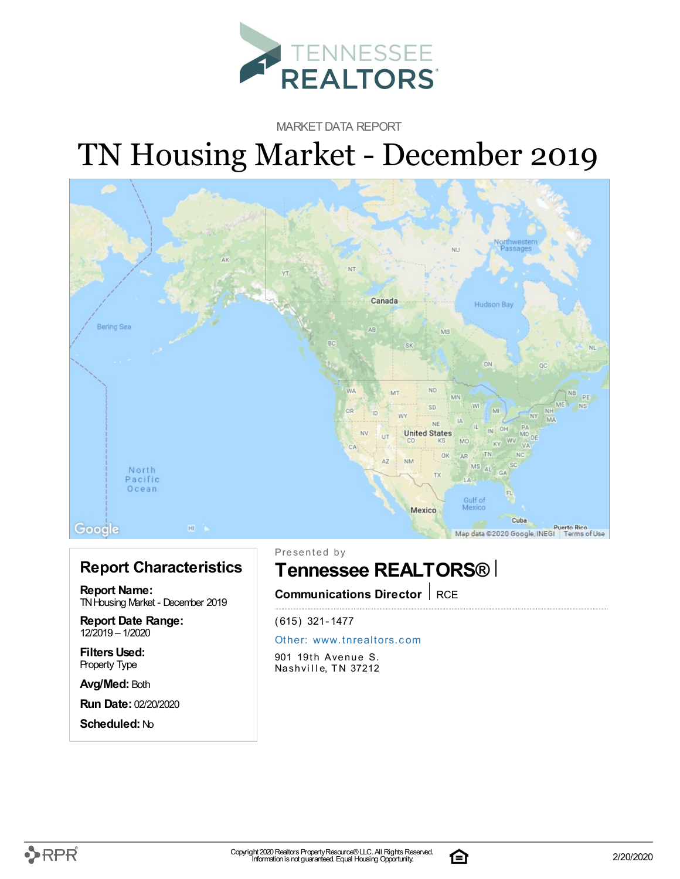

MARKET DATA REPORT

# TN Housing Market - December 2019



#### **Report Characteristics**

**Report Name:** TN Housing Market - December 2019

**Report Date Range:** 12/2019 – 1/2020

**FiltersUsed:** Property Type

**Avg/Med:** Both

**Run Date:** 02/20/2020

**Scheduled:** No

Presented by

### **Tennessee REALTORS®**

**Communications Director** RCE

(615) 321-1477

#### Other: [www.](http://www.tnrealtors.com)tnrealtors.com

901 19th Avenue S. Nashville, TN 37212



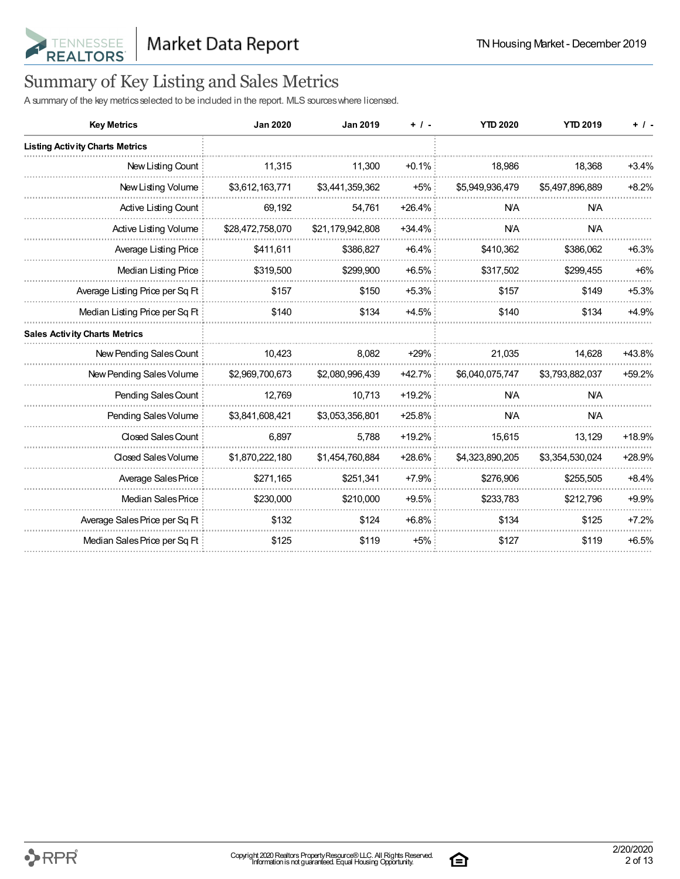

## Summary of Key Listing and Sales Metrics

A summary of the key metrics selected to be included in the report. MLS sources where licensed.

| <b>Key Metrics</b>                     | <b>Jan 2020</b>  | <b>Jan 2019</b>  | $+ 1 -$   | <b>YTD 2020</b> | <b>YTD 2019</b> | $+$ / -  |
|----------------------------------------|------------------|------------------|-----------|-----------------|-----------------|----------|
| <b>Listing Activity Charts Metrics</b> |                  |                  |           |                 |                 |          |
| New Listing Count                      | 11,315           | 11,300           | $+0.1\%$  | 18,986          | 18,368          | $+3.4%$  |
| New Listing Volume                     | \$3,612,163,771  | \$3,441,359,362  | $+5%$     | \$5,949,936,479 | \$5,497,896,889 | $+8.2%$  |
| Active Listing Count                   | 69,192           | 54,761           | $+26.4%$  | <b>N/A</b>      | <b>NA</b>       |          |
| Active Listing Volume                  | \$28,472,758,070 | \$21,179,942,808 | $+34.4%$  | <b>N/A</b>      | <b>N/A</b>      |          |
| Average Listing Price                  | \$411,611        | \$386,827        | $+6.4%$   | \$410,362       | \$386,062       | $+6.3%$  |
| Median Listing Price                   | \$319,500        | \$299,900        | $+6.5%$   | \$317,502       | \$299,455       | $+6%$    |
| Average Listing Price per Sq Ft        | \$157            | \$150            | $+5.3%$   | \$157           | \$149           | $+5.3%$  |
| Median Listing Price per Sq Ft         | \$140            | \$134            | $+4.5%$   | \$140           | \$134           | $+4.9%$  |
| <b>Sales Activity Charts Metrics</b>   |                  |                  |           |                 |                 |          |
| New Pending Sales Count                | 10,423           | 8,082            | $+29%$    | 21,035          | 14,628          | +43.8%   |
| New Pending Sales Volume               | \$2,969,700,673  | \$2,080,996,439  | $+42.7\%$ | \$6,040,075,747 | \$3,793,882,037 | $+59.2%$ |
| Pending Sales Count                    | 12,769           | 10,713           | $+19.2%$  | <b>N/A</b>      | <b>N/A</b>      |          |
| Pending Sales Volume                   | \$3,841,608,421  | \$3,053,356,801  | +25.8%    | <b>N/A</b>      | <b>N/A</b>      |          |
| Closed Sales Count                     | 6,897            | 5,788            | $+19.2%$  | 15,615          | 13,129          | +18.9%   |
| Closed Sales Volume                    | \$1,870,222,180  | \$1,454,760,884  | $+28.6\%$ | \$4,323,890,205 | \$3,354,530,024 | $+28.9%$ |
| Average Sales Price                    | \$271,165        | \$251,341        | $+7.9%$   | \$276,906       | \$255,505       | $+8.4%$  |
| Median Sales Price                     | \$230,000        | \$210,000        | $+9.5%$   | \$233,783       | \$212,796       | $+9.9%$  |
| Average Sales Price per Sq Ft          | \$132            | \$124            | $+6.8%$   | \$134           | \$125           | $+7.2%$  |
| Median Sales Price per Sq Ft           | \$125            | \$119            | $+5%$     | \$127           | \$119           | $+6.5%$  |

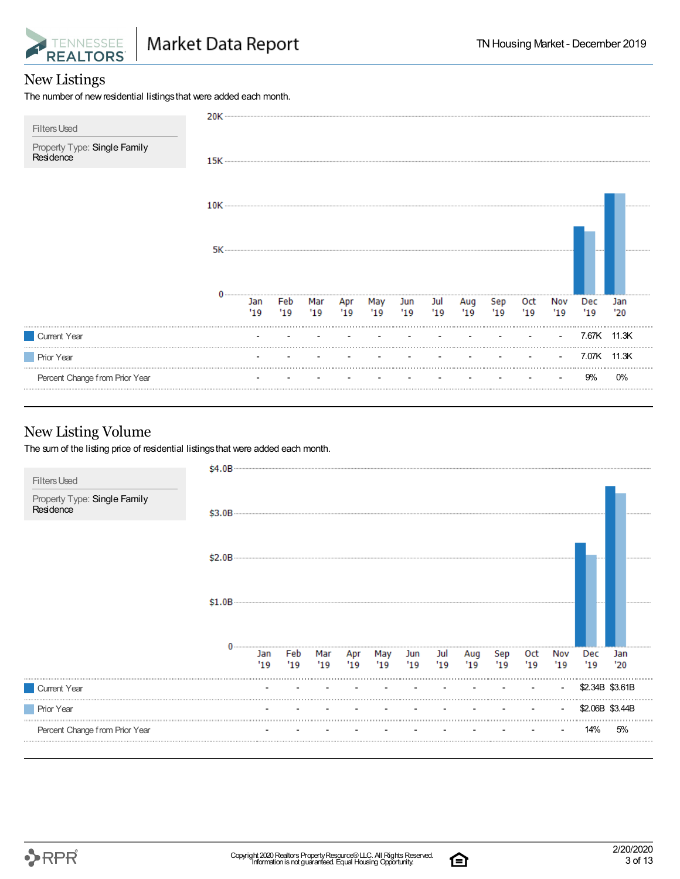

#### New Listings

The number of new residential listings that were added each month.

| <b>Filters Used</b>                       | 20K ··········· |            |            |     |     |                       |    |            |           |            |            |            |             |            |
|-------------------------------------------|-----------------|------------|------------|-----|-----|-----------------------|----|------------|-----------|------------|------------|------------|-------------|------------|
| Property Type: Single Family<br>Residence | $15K$ $-$       |            |            |     |     |                       |    |            |           |            |            |            |             |            |
|                                           |                 |            |            |     |     |                       |    |            |           |            |            |            |             |            |
|                                           |                 |            |            |     |     |                       |    |            |           |            |            |            |             |            |
|                                           |                 | Jan<br>'19 | Feb<br>'19 | '19 | '19 | Mar Apr May Jun<br>19 | 19 | Jul<br>'19 | Aug<br>19 | Sep<br>'19 | Oct<br>'19 | Nov<br>'19 | Dec<br>'19  | Jan<br>'20 |
| Current Year                              |                 |            |            |     |     |                       |    |            |           |            |            |            | 7.67K 11.3K |            |
| <b>Prior Year</b>                         |                 |            |            |     |     |                       |    |            |           |            |            |            | 7.07K 11.3K |            |
| Percent Change from Prior Year            |                 |            |            |     |     |                       |    |            |           |            |            |            | 9%          | 0%         |

#### New Listing Volume

The sum of the listing price of residential listings that were added each month.

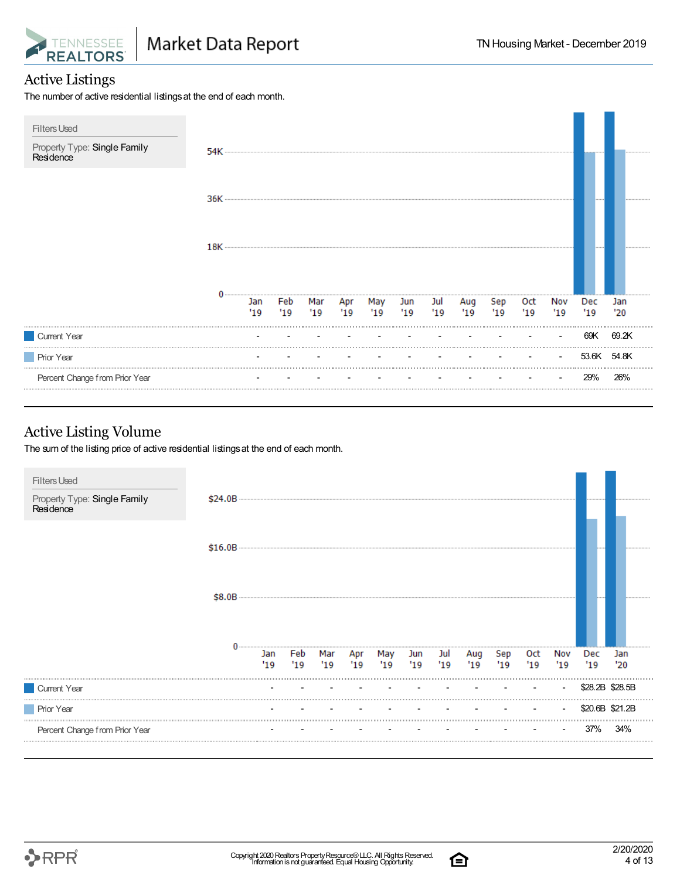

#### Active Listings

The number of active residential listings at the end of each month.



#### Active Listing Volume

The sum of the listing price of active residential listings at the end of each month.





合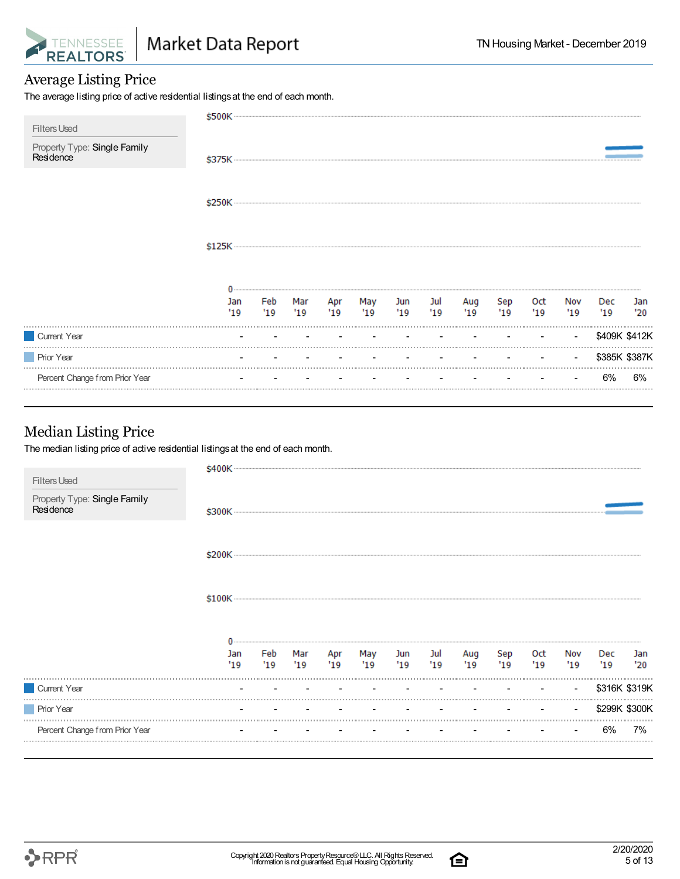

#### Average Listing Price

The average listing price of active residential listings at the end of each month.

| <b>Filters Used</b>                       | \$500K     |            |            |            |            |           |           |           |           |           |                |            |               |
|-------------------------------------------|------------|------------|------------|------------|------------|-----------|-----------|-----------|-----------|-----------|----------------|------------|---------------|
| Property Type: Single Family<br>Residence |            |            |            |            |            |           |           |           |           |           |                |            |               |
|                                           |            |            |            |            |            |           |           |           |           |           |                |            |               |
|                                           | \$125K     |            |            |            |            |           |           |           |           |           |                |            |               |
|                                           |            |            |            |            |            |           |           |           |           |           |                |            |               |
|                                           | Jan<br>'19 | Feb<br>'19 | Mar<br>'19 | Apr<br>'19 | May<br>'19 | Jun<br>19 | Jul<br>19 | Aug<br>19 | Sep<br>19 | Oct<br>19 | Nov<br>'19     | Dec<br>'19 | Jan<br>'20    |
| Current Year                              |            |            |            |            |            |           |           |           |           |           | $\blacksquare$ |            | \$409K \$412K |
| <b>Prior Year</b>                         |            |            |            |            |            |           |           |           |           |           | $\sim$         |            | \$385K \$387K |
| Percent Change from Prior Year            |            |            |            |            |            |           |           |           |           |           |                | 6%         | 6%            |

#### Median Listing Price

The median listing price of active residential listings at the end of each month.

| Percent Change from Prior Year            |            |            |             |            |            |            |            |            |            |            |            | 6%            | 7%         |
|-------------------------------------------|------------|------------|-------------|------------|------------|------------|------------|------------|------------|------------|------------|---------------|------------|
| <b>Prior Year</b>                         |            |            |             |            |            |            |            |            |            |            |            | \$299K \$300K |            |
| Current Year                              |            |            |             |            |            |            |            |            |            |            | $\sim$     | \$316K \$319K |            |
|                                           | Jan<br>'19 | Feb<br>'19 | Mar<br>"19" | Apr<br>'19 | May<br>'19 | Jun<br>'19 | Jul<br>'19 | Aug<br>'19 | Sep<br>'19 | Oct<br>'19 | Nov<br>'19 | Dec<br>'19    | Jan<br>'20 |
|                                           |            |            |             |            |            |            |            |            |            |            |            |               |            |
|                                           |            |            |             |            |            |            |            |            |            |            |            |               |            |
|                                           |            |            |             |            |            |            |            |            |            |            |            |               |            |
| Property Type: Single Family<br>Residence |            |            |             |            |            |            |            |            |            |            |            |               |            |
| <b>Filters Used</b>                       |            |            |             |            |            |            |            |            |            |            |            |               |            |

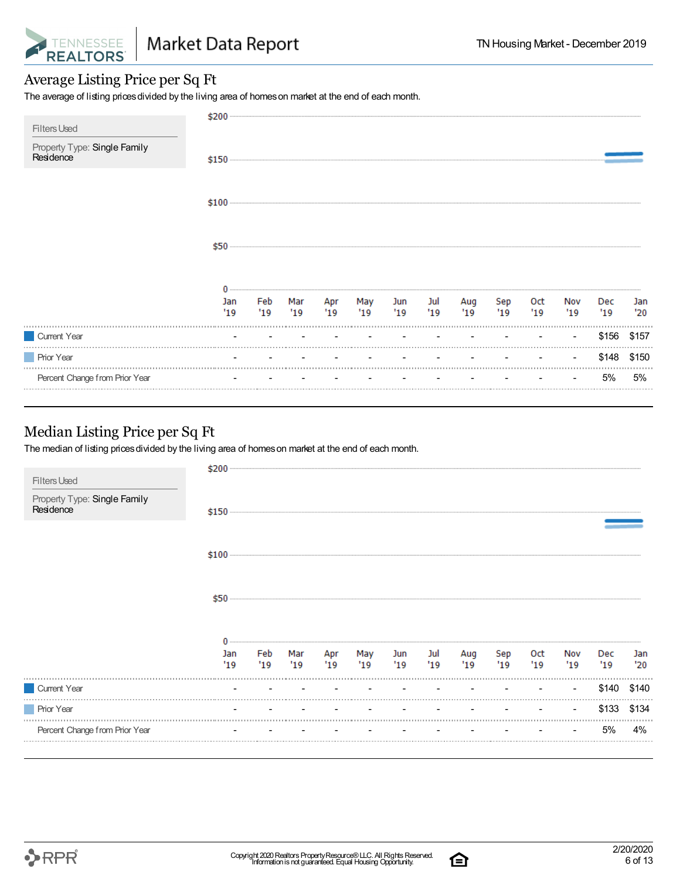

#### Average Listing Price per Sq Ft

The average of listing prices divided by the living area of homes on market at the end of each month.

| <b>Filters Used</b>                       | \$200      |            |             |             |            |           |            |           |           |            |           |            |            |
|-------------------------------------------|------------|------------|-------------|-------------|------------|-----------|------------|-----------|-----------|------------|-----------|------------|------------|
| Property Type: Single Family<br>Residence |            |            |             |             |            |           |            |           |           |            |           |            |            |
|                                           | $$100$     |            |             |             |            |           |            |           |           |            |           |            |            |
|                                           | \$50       |            |             |             |            |           |            |           |           |            |           |            |            |
|                                           | Jan<br>'19 | Feb<br>'19 | Mar<br>"19" | Apr<br>"19" | May<br>'19 | Jun<br>19 | Jul<br>'19 | Aug<br>19 | Sep<br>19 | Oct<br>'19 | Nov<br>19 | Dec<br>'19 | Jan<br>'20 |
| Current Year                              |            |            |             |             |            |           |            |           |           |            |           | \$156      | \$157      |
| <b>Prior Year</b>                         |            |            |             |             |            |           |            |           |           |            |           | \$148      | \$150      |
| Percent Change from Prior Year            |            |            |             |             |            |           |            |           |           |            |           | 5%         | 5%         |

#### Median Listing Price per Sq Ft

The median of listing prices divided by the living area of homes on market at the end of each month.

| <b>Filters Used</b>                       | \$200      |            |           |                    |            |                                   |            |            |            |            |            |                   |            |
|-------------------------------------------|------------|------------|-----------|--------------------|------------|-----------------------------------|------------|------------|------------|------------|------------|-------------------|------------|
| Property Type: Single Family<br>Residence |            |            |           |                    |            |                                   |            |            |            |            |            |                   |            |
|                                           |            |            |           |                    |            |                                   |            |            |            |            |            |                   |            |
|                                           | \$50       |            |           |                    |            |                                   |            |            |            |            |            |                   |            |
|                                           | Jan<br>'19 | Feb<br>'19 | Mar<br>19 | Apr<br>19          | May<br>'19 | Jun<br>19                         | Jul<br>'19 | Aug<br>'19 | Sep<br>'19 | Oct<br>'19 | Nov<br>'19 | <b>Dec</b><br>'19 | Jan<br>'20 |
| Current Year                              |            |            |           | the company of the | $\sim$     | the control of the control of the |            |            |            |            | $\sim$     | \$140             | \$140      |
| <b>Prior Year</b>                         |            |            |           |                    |            |                                   |            |            |            |            | $\sim$     | \$133             | \$134      |
| Percent Change from Prior Year            |            |            |           |                    |            |                                   |            |            |            |            | $\sim$     | 5%                | 4%         |

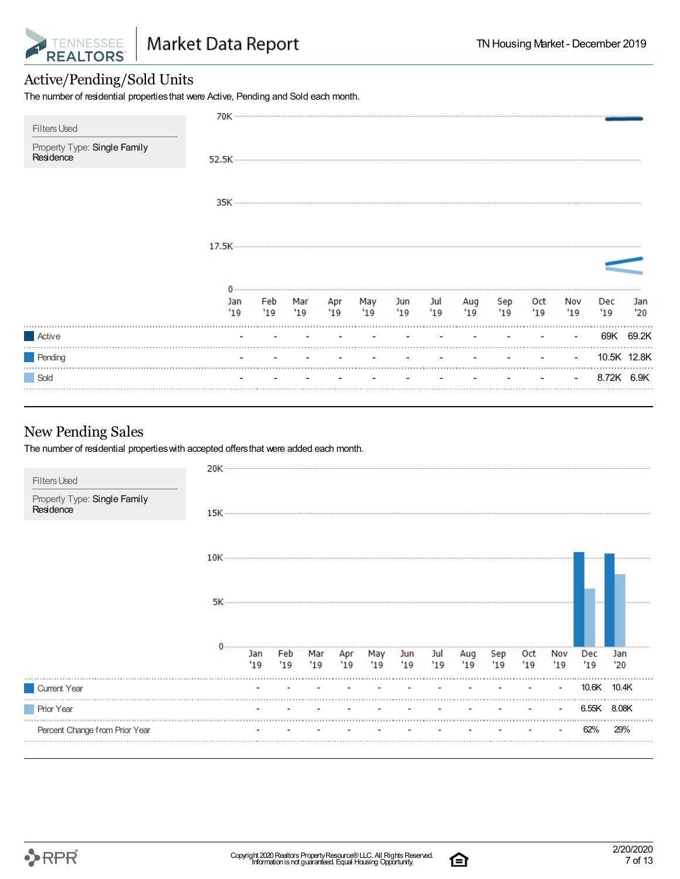

#### Active/Pending/Sold Units

The number of residential propertiesthat were Active, Pending and Sold each month.

| <b>Filters Used</b>                       |            |           |     |               |            |    |                 |           |           |           |           |            |             |
|-------------------------------------------|------------|-----------|-----|---------------|------------|----|-----------------|-----------|-----------|-----------|-----------|------------|-------------|
| Property Type: Single Family<br>Residence |            |           |     |               |            |    |                 |           |           |           |           |            |             |
|                                           |            |           |     |               |            |    |                 |           |           |           |           |            |             |
|                                           |            |           |     |               |            |    |                 |           |           |           |           |            |             |
|                                           |            |           |     |               |            |    |                 |           |           |           |           |            |             |
|                                           | Jan<br>'19 | Feb<br>19 | '19 | Mar Apr<br>19 | May<br>'19 | 19 | Jun Jul<br>"19" | Aug<br>19 | Sep<br>19 | Oct<br>19 | Nov<br>19 | Dec<br>19  | Jan<br>'20  |
| Active                                    |            |           |     |               |            |    |                 |           |           |           | $\sim$    | 69K        | 69.2K       |
| Pending                                   |            |           |     |               |            |    |                 |           |           |           | $\sim$    |            | 10.5K 12.8K |
| Sold                                      |            |           |     |               |            |    |                 |           |           |           | $\sim$    | 8.72K 6.9K |             |

#### New Pending Sales

The number of residential propertieswith accepted offersthat were added each month.

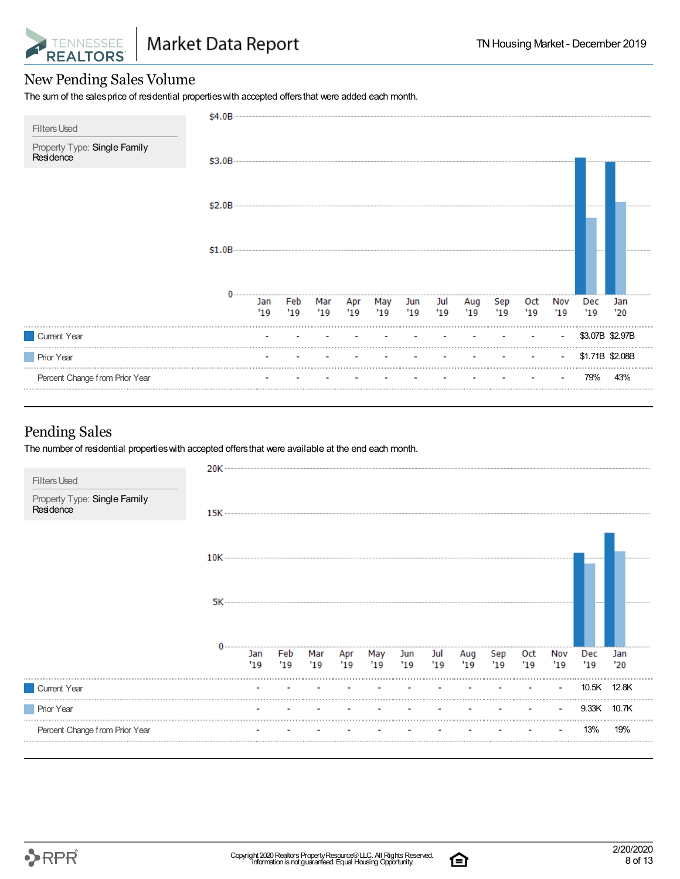

#### New Pending Sales Volume

The sum of the sales price of residential properties with accepted offers that were added each month.

|                                                                  | \$4.0B |            |            |            |            |            |     |                |            |            |             |            |            |                 |
|------------------------------------------------------------------|--------|------------|------------|------------|------------|------------|-----|----------------|------------|------------|-------------|------------|------------|-----------------|
| <b>Filters Used</b><br>Property Type: Single Family<br>Residence | \$3.0B |            |            |            |            |            |     |                |            |            |             |            |            |                 |
|                                                                  | \$2.0B |            |            |            |            |            |     |                |            |            |             |            |            |                 |
|                                                                  | \$1.0B |            |            |            |            |            |     |                |            |            |             |            |            |                 |
|                                                                  |        | Jan<br>'19 | Feb<br>'19 | Mar<br>'19 | Apr<br>'19 | May<br>'19 | '19 | Jun Jul<br>'19 | Aug<br>'19 | Sep<br>'19 | Oct<br>"19" | Nov<br>'19 | Dec<br>'19 | Jan<br>'20      |
| Current Year                                                     |        |            |            |            |            |            |     |                |            |            |             | ٠          |            | \$3.07B \$2.97B |
| <b>Prior Year</b>                                                |        |            |            |            |            |            |     |                |            |            |             |            |            | \$1.71B \$2.08B |
| Percent Change from Prior Year                                   |        |            |            |            |            |            |     |                |            |            |             |            | 79%        | 43%             |

#### Pending Sales

The number of residential properties with accepted offers that were available at the end each month.

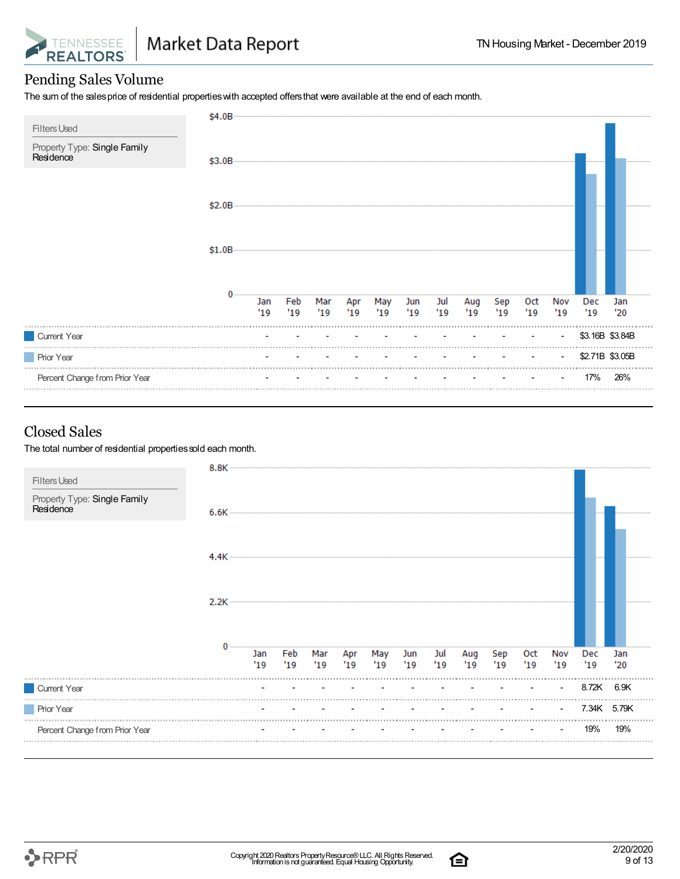

#### Pending Sales Volume

The sum of the salesprice of residential propertieswith accepted offersthat were available at the end of each month.

| <b>Filters Used</b>                       | \$4.0B |             |            |            |                                     |           |      |               |           |           |            |            |                 |            |
|-------------------------------------------|--------|-------------|------------|------------|-------------------------------------|-----------|------|---------------|-----------|-----------|------------|------------|-----------------|------------|
| Property Type: Single Family<br>Residence | \$3.0B |             |            |            |                                     |           |      |               |           |           |            |            |                 |            |
|                                           | \$2.0B |             |            |            |                                     |           |      |               |           |           |            |            |                 |            |
|                                           | \$1.0B |             |            |            |                                     |           |      |               |           |           |            |            |                 |            |
|                                           |        | Jan<br>"19" | Feb<br>'19 | Mar<br>'19 | $\overline{Apr}$<br>$\overline{19}$ | May<br>19 | "19" | Jun Jul<br>19 | Aug<br>19 | Sep<br>19 | 0ct<br>'19 | Nov<br>'19 | Dec<br>'19      | Jan<br>'20 |
| Current Year                              |        |             |            |            |                                     |           |      |               |           |           |            |            | \$3.16B \$3.84B |            |
| <b>Prior Year</b>                         |        |             |            |            |                                     |           |      |               |           |           |            |            | \$2.71B \$3.05B |            |
| Percent Change from Prior Year            |        |             |            |            |                                     |           |      |               |           |           |            |            | 17%             | 26%        |

#### Closed Sales

The total number of residential properties sold each month.

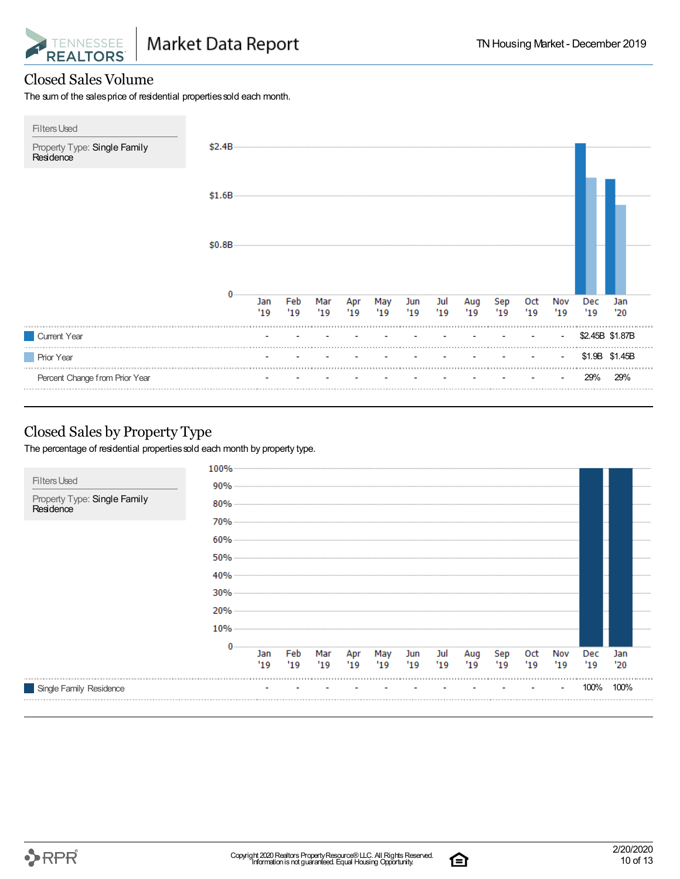

#### Closed Sales Volume

The sum of the sales price of residential properties sold each month.

| <b>Filters Used</b><br>Property Type: Single Family<br>Residence | \$2.4B |             |            |           |            |            |            |            |             |            |            |            |             |                 |
|------------------------------------------------------------------|--------|-------------|------------|-----------|------------|------------|------------|------------|-------------|------------|------------|------------|-------------|-----------------|
|                                                                  | \$1.6B |             |            |           |            |            |            |            |             |            |            |            |             |                 |
|                                                                  | \$0.8B |             |            |           |            |            |            |            |             |            |            |            |             |                 |
|                                                                  |        | Jan<br>"19" | Feb<br>'19 | Mar<br>19 | Apr<br>'19 | May<br>'19 | Jun<br>'19 | Jul<br>'19 | Aug<br>"19" | Sep<br>'19 | 0ct<br>'19 | Nov<br>'19 | Dec<br>"19" | Jan<br>'20      |
| Current Year                                                     |        |             |            |           |            |            |            |            |             |            |            |            |             | \$2.45B \$1.87B |
| <b>Prior Year</b>                                                |        |             |            |           |            |            |            |            |             |            |            |            |             | \$1.9B \$1.45B  |
| Percent Change from Prior Year                                   |        |             |            |           |            |            |            |            |             |            |            |            | 29%         | 29%             |

#### Closed Sales by Property Type

The percentage of residential properties sold each month by property type.



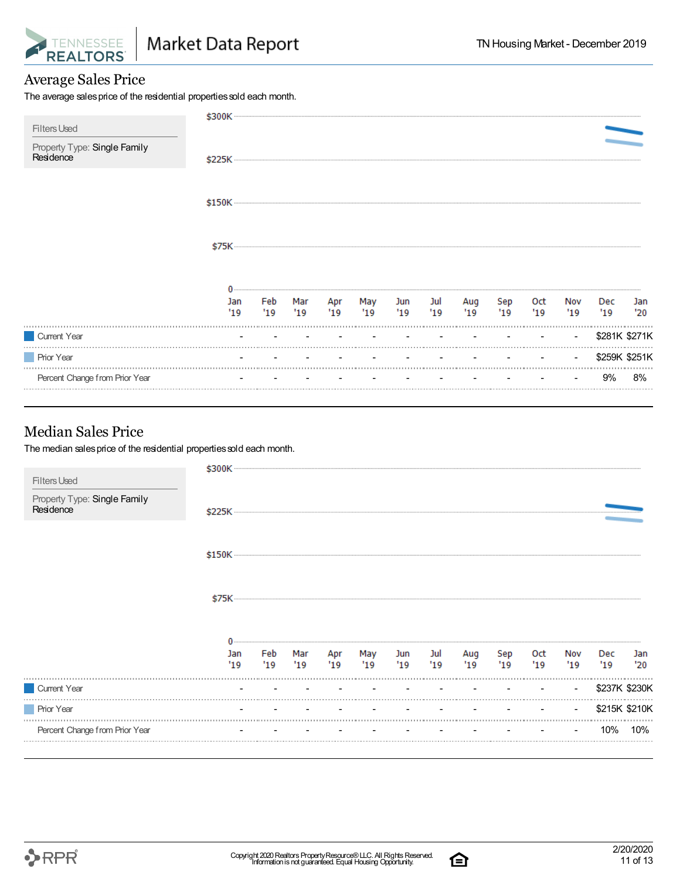

#### Average Sales Price

The average sales price of the residential properties sold each month.

| <b>Filters Used</b>                       | \$300K     |            |    |    |                   |     |               |             |            |           |                |             |               |
|-------------------------------------------|------------|------------|----|----|-------------------|-----|---------------|-------------|------------|-----------|----------------|-------------|---------------|
| Property Type: Single Family<br>Residence |            |            |    |    |                   |     |               |             |            |           |                |             |               |
|                                           |            |            |    |    |                   |     |               |             |            |           |                |             |               |
|                                           |            |            |    |    |                   |     |               |             |            |           |                |             |               |
|                                           |            |            |    |    |                   |     |               |             |            |           |                |             |               |
|                                           | Jan<br>'19 | Feb<br>'19 | 19 | 19 | Mar Apr May<br>19 | '19 | Jun Jul<br>19 | Aug<br>"19" | Sep<br>'19 | Oct<br>19 | Nov<br>'19     | Dec<br>"19" | Jan<br>'20    |
| Current Year                              |            |            |    |    |                   |     |               |             |            |           | $\sim$         |             | \$281K \$271K |
| <b>Prior Year</b>                         |            |            |    |    |                   |     |               | $\sim$      |            |           | $\blacksquare$ |             | \$259K \$251K |
| Percent Change from Prior Year            |            |            |    |    |                   |     |               |             |            |           |                | 9%          | 8%            |

#### Median Sales Price

The median sales price of the residential properties sold each month.

| <b>Filters Used</b>                       | \$300K     |             |             |            |            |             |           |            |            |            |            |               |            |
|-------------------------------------------|------------|-------------|-------------|------------|------------|-------------|-----------|------------|------------|------------|------------|---------------|------------|
| Property Type: Single Family<br>Residence |            |             |             |            |            |             |           |            |            |            |            |               |            |
|                                           |            |             |             |            |            |             |           |            |            |            |            |               |            |
|                                           | \$75K      |             |             |            |            |             |           |            |            |            |            |               |            |
|                                           |            |             |             |            |            |             |           |            |            |            |            |               |            |
|                                           | Jan<br>'19 | Feb<br>"19" | Mar<br>"19" | Apr<br>'19 | May<br>'19 | Jun<br>"19" | Jul<br>19 | Aug<br>'19 | Sep<br>'19 | Oct<br>'19 | Nov<br>'19 | Dec<br>'19    | Jan<br>'20 |
| Current Year                              |            |             |             |            |            |             |           |            |            |            | $\sim$     | \$237K \$230K |            |
| <b>Prior Year</b>                         |            |             |             |            |            |             |           |            |            |            | $\sim$     | \$215K \$210K |            |
| Percent Change from Prior Year            |            |             |             |            |            |             |           |            |            |            |            | 10%           | 10%        |
|                                           |            |             |             |            |            |             |           |            |            |            |            |               |            |

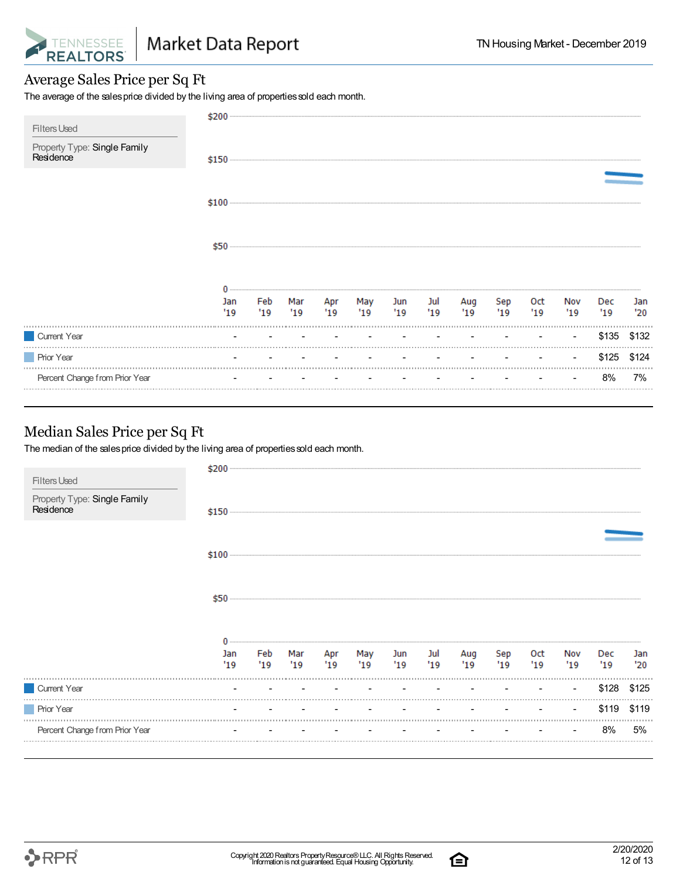

#### Average Sales Price per Sq Ft

The average of the sales price divided by the living area of properties sold each month.

| <b>Filters Used</b>                       |            |  |                                    |           |           |           |           |           |                |            |            |
|-------------------------------------------|------------|--|------------------------------------|-----------|-----------|-----------|-----------|-----------|----------------|------------|------------|
| Property Type: Single Family<br>Residence |            |  |                                    |           |           |           |           |           |                |            |            |
|                                           |            |  |                                    |           |           |           |           |           |                |            |            |
|                                           | \$50       |  |                                    |           |           |           |           |           |                |            |            |
|                                           | Jan<br>'19 |  | Feb Mar Apr May<br>'19 '19 '19 '19 | Jun<br>19 | Jul<br>19 | Aug<br>19 | Sep<br>19 | Oct<br>19 | Nov<br>'19     | Dec<br>'19 | Jan<br>'20 |
| Current Year                              |            |  |                                    |           |           |           |           |           | $\blacksquare$ | \$135      | \$132      |
| <b>Prior Year</b>                         |            |  |                                    |           |           |           |           |           |                | \$125      | \$124      |
| Percent Change from Prior Year            |            |  |                                    |           |           |           |           |           |                | 8%         | 7%         |

#### Median Sales Price per Sq Ft

The median of the sales price divided by the living area of properties sold each month.

| <b>Filters Used</b>                       | \$200      |            |           |            |            |           |            |            |           |            |            |            |            |
|-------------------------------------------|------------|------------|-----------|------------|------------|-----------|------------|------------|-----------|------------|------------|------------|------------|
| Property Type: Single Family<br>Residence |            |            |           |            |            |           |            |            |           |            |            |            |            |
|                                           |            |            |           |            |            |           |            |            |           |            |            |            |            |
|                                           | \$50       |            |           |            |            |           |            |            |           |            |            |            |            |
|                                           | Jan<br>'19 | Feb<br>'19 | Mar<br>19 | Apr<br>'19 | May<br>'19 | Jun<br>19 | Jul<br>'19 | Aug<br>'19 | Sep<br>19 | Oct<br>'19 | Nov<br>'19 | Dec<br>'19 | Jan<br>'20 |
| Current Year                              |            |            |           |            |            |           |            |            |           |            | $\sim$     | \$128      | \$125      |
| <b>Prior Year</b>                         |            |            |           |            |            |           |            |            |           |            | $\sim$     | \$119      | \$119      |
| Percent Change from Prior Year            |            |            |           |            |            |           |            |            |           |            |            | 8%         | 5%         |